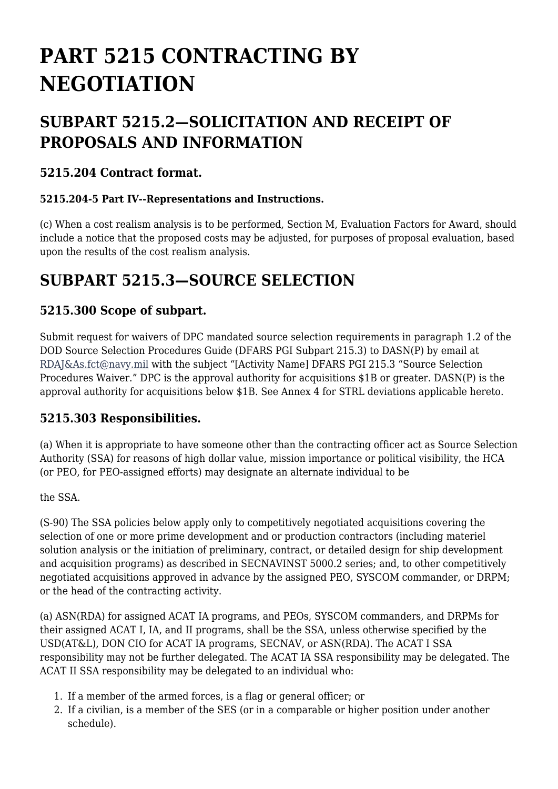# **PART 5215 CONTRACTING BY NEGOTIATION**

# **SUBPART 5215.2—SOLICITATION AND RECEIPT OF PROPOSALS AND INFORMATION**

### **5215.204 Contract format.**

#### **5215.204-5 Part IV--Representations and Instructions.**

(c) When a cost realism analysis is to be performed, Section M, Evaluation Factors for Award, should include a notice that the proposed costs may be adjusted, for purposes of proposal evaluation, based upon the results of the cost realism analysis.

# **SUBPART 5215.3—SOURCE SELECTION**

# **5215.300 Scope of subpart.**

Submit request for waivers of DPC mandated source selection requirements in paragraph 1.2 of the DOD Source Selection Procedures Guide (DFARS PGI Subpart 215.3) to DASN(P) by email at [RDAJ&As.fct@navy.mil](mailto:Rdaj&as.fct@navy.mil) with the subject "[Activity Name] DFARS PGI 215.3 "Source Selection Procedures Waiver." DPC is the approval authority for acquisitions \$1B or greater. DASN(P) is the approval authority for acquisitions below \$1B. See Annex 4 for STRL deviations applicable hereto.

### **5215.303 Responsibilities.**

(a) When it is appropriate to have someone other than the contracting officer act as Source Selection Authority (SSA) for reasons of high dollar value, mission importance or political visibility, the HCA (or PEO, for PEO-assigned efforts) may designate an alternate individual to be

the SSA.

(S-90) The SSA policies below apply only to competitively negotiated acquisitions covering the selection of one or more prime development and or production contractors (including materiel solution analysis or the initiation of preliminary, contract, or detailed design for ship development and acquisition programs) as described in SECNAVINST 5000.2 series; and, to other competitively negotiated acquisitions approved in advance by the assigned PEO, SYSCOM commander, or DRPM; or the head of the contracting activity.

(a) ASN(RDA) for assigned ACAT IA programs, and PEOs, SYSCOM commanders, and DRPMs for their assigned ACAT I, IA, and II programs, shall be the SSA, unless otherwise specified by the USD(AT&L), DON CIO for ACAT IA programs, SECNAV, or ASN(RDA). The ACAT I SSA responsibility may not be further delegated. The ACAT IA SSA responsibility may be delegated. The ACAT II SSA responsibility may be delegated to an individual who:

- 1. If a member of the armed forces, is a flag or general officer; or
- 2. If a civilian, is a member of the SES (or in a comparable or higher position under another schedule).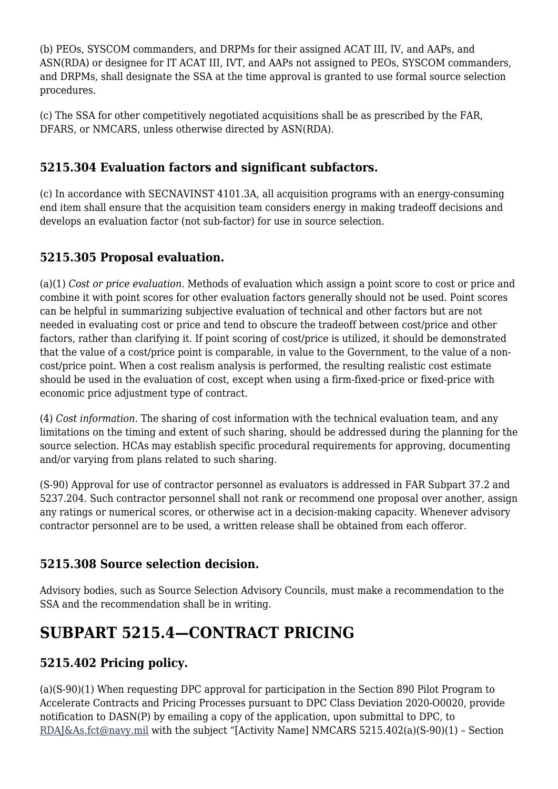(b) PEOs, SYSCOM commanders, and DRPMs for their assigned ACAT III, IV, and AAPs, and ASN(RDA) or designee for IT ACAT III, IVT, and AAPs not assigned to PEOs, SYSCOM commanders, and DRPMs, shall designate the SSA at the time approval is granted to use formal source selection procedures.

(c) The SSA for other competitively negotiated acquisitions shall be as prescribed by the FAR, DFARS, or NMCARS, unless otherwise directed by ASN(RDA).

## **5215.304 Evaluation factors and significant subfactors.**

(c) In accordance with SECNAVINST 4101.3A, all acquisition programs with an energy-consuming end item shall ensure that the acquisition team considers energy in making tradeoff decisions and develops an evaluation factor (not sub-factor) for use in source selection.

### **5215.305 Proposal evaluation.**

(a)(1) *Cost or price evaluation*. Methods of evaluation which assign a point score to cost or price and combine it with point scores for other evaluation factors generally should not be used. Point scores can be helpful in summarizing subjective evaluation of technical and other factors but are not needed in evaluating cost or price and tend to obscure the tradeoff between cost/price and other factors, rather than clarifying it. If point scoring of cost/price is utilized, it should be demonstrated that the value of a cost/price point is comparable, in value to the Government, to the value of a noncost/price point. When a cost realism analysis is performed, the resulting realistic cost estimate should be used in the evaluation of cost, except when using a firm-fixed-price or fixed-price with economic price adjustment type of contract.

(4) *Cost information*. The sharing of cost information with the technical evaluation team, and any limitations on the timing and extent of such sharing, should be addressed during the planning for the source selection. HCAs may establish specific procedural requirements for approving, documenting and/or varying from plans related to such sharing.

(S-90) Approval for use of contractor personnel as evaluators is addressed in FAR Subpart 37.2 and 5237.204. Such contractor personnel shall not rank or recommend one proposal over another, assign any ratings or numerical scores, or otherwise act in a decision-making capacity. Whenever advisory contractor personnel are to be used, a written release shall be obtained from each offeror.

### **5215.308 Source selection decision.**

Advisory bodies, such as Source Selection Advisory Councils, must make a recommendation to the SSA and the recommendation shall be in writing.

# **SUBPART 5215.4—CONTRACT PRICING**

# **5215.402 Pricing policy.**

(a)(S-90)(1) When requesting DPC approval for participation in the Section 890 Pilot Program to Accelerate Contracts and Pricing Processes pursuant to DPC Class Deviation 2020-O0020, provide notification to DASN(P) by emailing a copy of the application, upon submittal to DPC, to [RDAJ&As.fct@navy.mil](mailto:Rdaj&as.fct@navy.mil) with the subject "[Activity Name] NMCARS 5215.402(a)(S-90)(1) – Section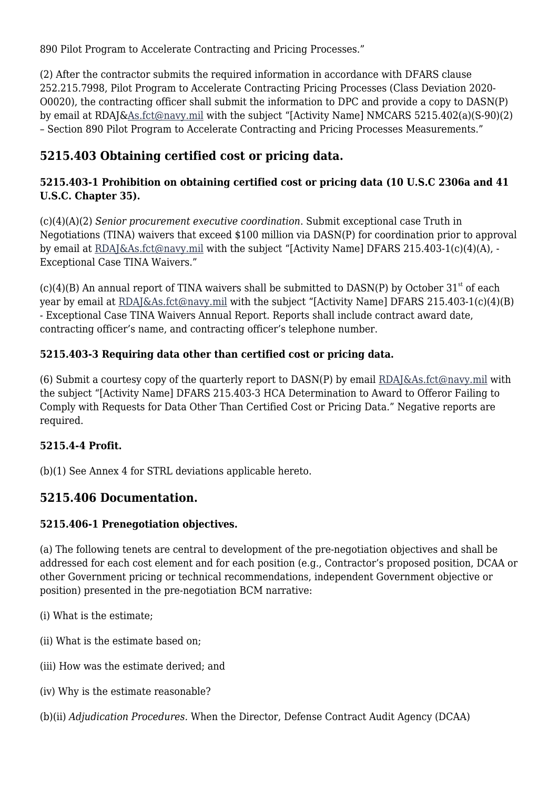890 Pilot Program to Accelerate Contracting and Pricing Processes."

(2) After the contractor submits the required information in accordance with DFARS clause 252.215.7998, Pilot Program to Accelerate Contracting Pricing Processes (Class Deviation 2020- O0020), the contracting officer shall submit the information to DPC and provide a copy to DASN(P) by email at RDAJ&[As.fct@navy.mil](mailto:As.fct@navy.mil) with the subject "[Activity Name] NMCARS 5215.402(a)(S-90)(2) – Section 890 Pilot Program to Accelerate Contracting and Pricing Processes Measurements."

# **5215.403 Obtaining certified cost or pricing data.**

#### **5215.403‑1 Prohibition on obtaining certified cost or pricing data (10 U.S.C 2306a and 41 U.S.C. Chapter 35).**

(c)(4)(A)(2) *Senior procurement executive coordination*. Submit exceptional case Truth in Negotiations (TINA) waivers that exceed \$100 million via DASN(P) for coordination prior to approval by email at [RDAJ&As.fct@navy.mil](mailto:Rdaj&as.fct@navy.mil) with the subject "[Activity Name] DFARS 215.403-1(c)(4)(A), -Exceptional Case TINA Waivers."

(c)(4)(B) An annual report of TINA waivers shall be submitted to DASN(P) by October  $31<sup>st</sup>$  of each year by email at [RDAJ&As.fct@navy.mil](mailto:Rdaj&as.fct@navy.mil) with the subject "[Activity Name] DFARS 215.403-1(c)(4)(B) - Exceptional Case TINA Waivers Annual Report. Reports shall include contract award date, contracting officer's name, and contracting officer's telephone number.

#### **5215.403-3 Requiring data other than certified cost or pricing data.**

(6) Submit a courtesy copy of the quarterly report to  $DASN(P)$  by email  $RDA[&As.fct@navy.mil$  with the subject "[Activity Name] DFARS 215.403-3 HCA Determination to Award to Offeror Failing to Comply with Requests for Data Other Than Certified Cost or Pricing Data." Negative reports are required.

#### **5215.4-4 Profit.**

(b)(1) See Annex 4 for STRL deviations applicable hereto.

# **5215.406 Documentation.**

#### **5215.406-1 Prenegotiation objectives.**

(a) The following tenets are central to development of the pre-negotiation objectives and shall be addressed for each cost element and for each position (e.g., Contractor's proposed position, DCAA or other Government pricing or technical recommendations, independent Government objective or position) presented in the pre-negotiation BCM narrative:

- (i) What is the estimate;
- (ii) What is the estimate based on;
- (iii) How was the estimate derived; and
- (iv) Why is the estimate reasonable?
- (b)(ii) *Adjudication Procedures.* When the Director, Defense Contract Audit Agency (DCAA)